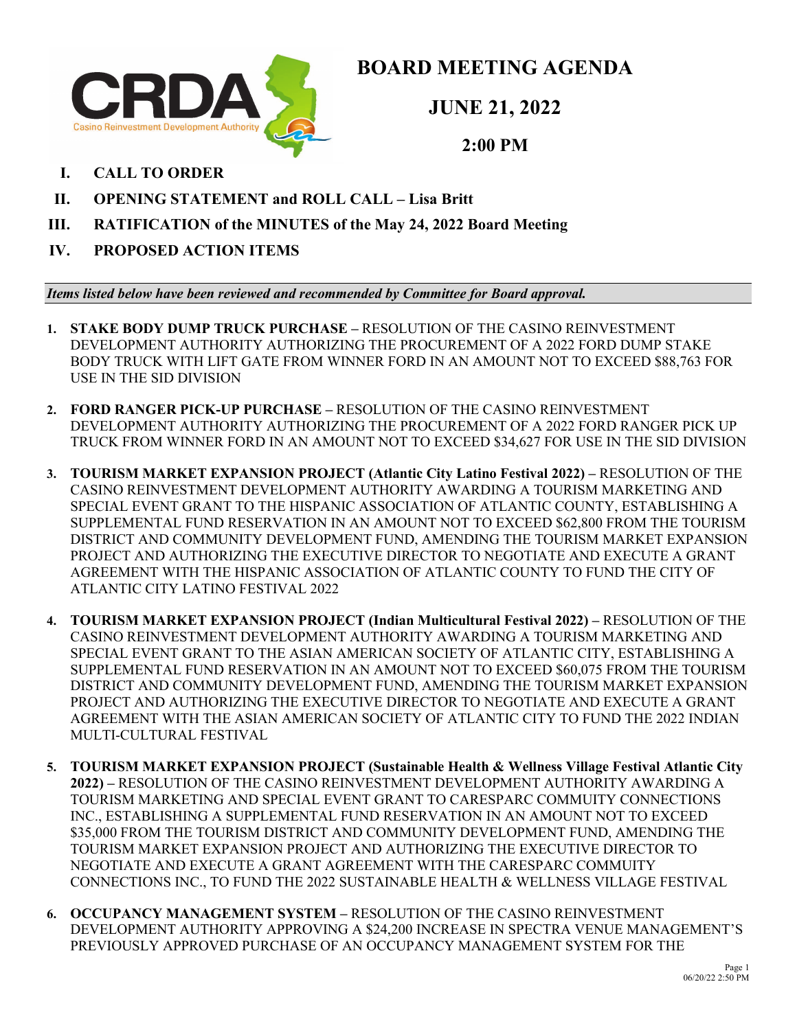

## **BOARD MEETING AGENDA**

**JUNE 21, 2022**

**2:00 PM**

- **I. CALL TO ORDER**
- **II. OPENING STATEMENT and ROLL CALL – Lisa Britt**
- **III. RATIFICATION of the MINUTES of the May 24, 2022 Board Meeting**
- **IV. PROPOSED ACTION ITEMS**

*Items listed below have been reviewed and recommended by Committee for Board approval.*

- **1. STAKE BODY DUMP TRUCK PURCHASE –** RESOLUTION OF THE CASINO REINVESTMENT DEVELOPMENT AUTHORITY AUTHORIZING THE PROCUREMENT OF A 2022 FORD DUMP STAKE BODY TRUCK WITH LIFT GATE FROM WINNER FORD IN AN AMOUNT NOT TO EXCEED \$88,763 FOR USE IN THE SID DIVISION
- **2. FORD RANGER PICK-UP PURCHASE –** RESOLUTION OF THE CASINO REINVESTMENT DEVELOPMENT AUTHORITY AUTHORIZING THE PROCUREMENT OF A 2022 FORD RANGER PICK UP TRUCK FROM WINNER FORD IN AN AMOUNT NOT TO EXCEED \$34,627 FOR USE IN THE SID DIVISION
- **3. TOURISM MARKET EXPANSION PROJECT (Atlantic City Latino Festival 2022) –** RESOLUTION OF THE CASINO REINVESTMENT DEVELOPMENT AUTHORITY AWARDING A TOURISM MARKETING AND SPECIAL EVENT GRANT TO THE HISPANIC ASSOCIATION OF ATLANTIC COUNTY, ESTABLISHING A SUPPLEMENTAL FUND RESERVATION IN AN AMOUNT NOT TO EXCEED \$62,800 FROM THE TOURISM DISTRICT AND COMMUNITY DEVELOPMENT FUND, AMENDING THE TOURISM MARKET EXPANSION PROJECT AND AUTHORIZING THE EXECUTIVE DIRECTOR TO NEGOTIATE AND EXECUTE A GRANT AGREEMENT WITH THE HISPANIC ASSOCIATION OF ATLANTIC COUNTY TO FUND THE CITY OF ATLANTIC CITY LATINO FESTIVAL 2022
- **4. TOURISM MARKET EXPANSION PROJECT (Indian Multicultural Festival 2022) –** RESOLUTION OF THE CASINO REINVESTMENT DEVELOPMENT AUTHORITY AWARDING A TOURISM MARKETING AND SPECIAL EVENT GRANT TO THE ASIAN AMERICAN SOCIETY OF ATLANTIC CITY, ESTABLISHING A SUPPLEMENTAL FUND RESERVATION IN AN AMOUNT NOT TO EXCEED \$60,075 FROM THE TOURISM DISTRICT AND COMMUNITY DEVELOPMENT FUND, AMENDING THE TOURISM MARKET EXPANSION PROJECT AND AUTHORIZING THE EXECUTIVE DIRECTOR TO NEGOTIATE AND EXECUTE A GRANT AGREEMENT WITH THE ASIAN AMERICAN SOCIETY OF ATLANTIC CITY TO FUND THE 2022 INDIAN MULTI-CULTURAL FESTIVAL
- **5. TOURISM MARKET EXPANSION PROJECT (Sustainable Health & Wellness Village Festival Atlantic City 2022) –** RESOLUTION OF THE CASINO REINVESTMENT DEVELOPMENT AUTHORITY AWARDING A TOURISM MARKETING AND SPECIAL EVENT GRANT TO CARESPARC COMMUITY CONNECTIONS INC., ESTABLISHING A SUPPLEMENTAL FUND RESERVATION IN AN AMOUNT NOT TO EXCEED \$35,000 FROM THE TOURISM DISTRICT AND COMMUNITY DEVELOPMENT FUND, AMENDING THE TOURISM MARKET EXPANSION PROJECT AND AUTHORIZING THE EXECUTIVE DIRECTOR TO NEGOTIATE AND EXECUTE A GRANT AGREEMENT WITH THE CARESPARC COMMUITY CONNECTIONS INC., TO FUND THE 2022 SUSTAINABLE HEALTH & WELLNESS VILLAGE FESTIVAL
- **6. OCCUPANCY MANAGEMENT SYSTEM –** RESOLUTION OF THE CASINO REINVESTMENT DEVELOPMENT AUTHORITY APPROVING A \$24,200 INCREASE IN SPECTRA VENUE MANAGEMENT'S PREVIOUSLY APPROVED PURCHASE OF AN OCCUPANCY MANAGEMENT SYSTEM FOR THE